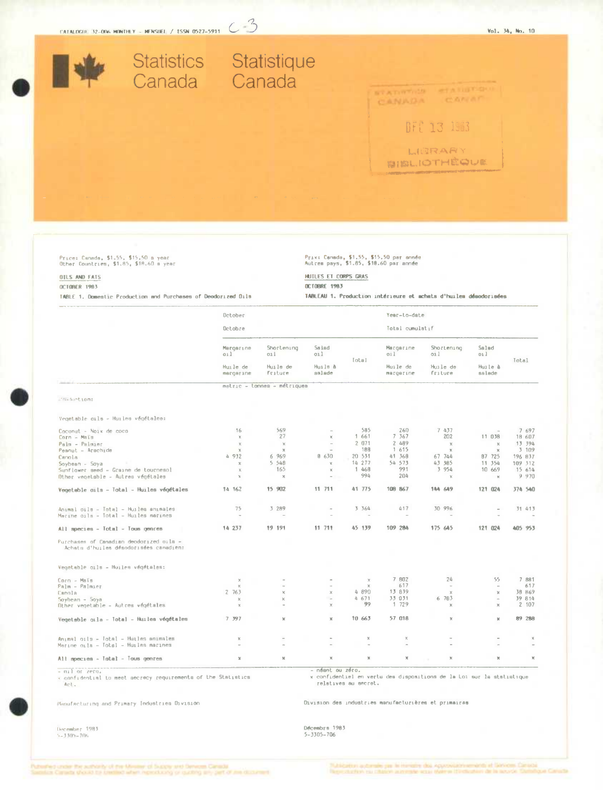

Prix: Canada, \$1,55, \$15,50 par année<br>Autres pays, \$1.85, \$18.60 par année

TABLEAU 1. Production intérieure et achats d'huiles désodorisées

HUILES ET CORPS GRAS

**OCTOBRE 1983** 

# Price: Canada, \$1.55, \$15.50 a year<br>Other Countries, \$1.85, \$18.60 a year

## OILS AND FATS

### OCTOBER 1983

TABLE 1. Domestic Production and Purchases of Deodorized Dils

|                                                                                   | Detober                  |                             |                          |                 | Year-to-date          |                       |                           |               |
|-----------------------------------------------------------------------------------|--------------------------|-----------------------------|--------------------------|-----------------|-----------------------|-----------------------|---------------------------|---------------|
|                                                                                   | Octobre                  |                             |                          | Total cumulatif |                       |                       |                           |               |
|                                                                                   | Margarine<br>oil         | Shortening<br>011           | Salad<br>Gil             | Iotal           | Margarine<br>011      | Shortening<br>011     | Salad<br>011              | <b>Total</b>  |
|                                                                                   | Huile de<br>margerine    | Huile de<br>Friture         | Huils à<br>aalade        |                 | Huile de<br>margerine | Huile de<br>friture   | Huile à<br>salade         |               |
|                                                                                   |                          | metric - tonnes - métriques |                          |                 |                       |                       |                           |               |
| Production:                                                                       |                          |                             |                          |                 |                       |                       |                           |               |
| Vegetable oils - Huiles végétales:                                                |                          |                             |                          |                 |                       |                       |                           |               |
| Coconut - Noix de coco                                                            | 16                       | 569                         | $\overline{\phantom{a}}$ | 585             | 260                   | 7 437                 | $\mathbf{r}$              | 7 697         |
| Corn - Mais                                                                       | $\mathbb{X}$             | 27                          | x                        | 1 661           | 7 3 6 7               | 202                   | 11 038                    | 18 607        |
| Palm - Palmier                                                                    | $\times$                 | $\chi$                      | $\sim$                   | 2 071           | 2 489                 | $\boldsymbol{\times}$ | $\mathbb X$               | 13 394        |
| Peanut - Arachide                                                                 | $\chi$                   | $\approx$                   | $\sim$                   | 188             | 1 615                 | $\mathbb{X}$          | $\chi$                    | 3 109         |
| Canola                                                                            | 4 932                    | 6 969                       | 8 630                    | 20 531          | 41 368                | 67 744                | B7 725                    | 196 837       |
| Soybean - Soya                                                                    | $\mathbb X$              | 5 5 4 8                     | $\chi$                   | 14 277          | 54 573                | 43 385                | 11 354                    | 109 312       |
| Sunflower seed - Graine de tournesol                                              | $\mathbb X$              | 165                         | $\mathbbm{K}$            | 1 468           | 991                   | 3 954                 | 10 669                    | 15 614        |
| Other vegetsble - Autres végétales                                                | x                        | ×                           |                          | 994             | 204                   | $\chi$                | $\mathbb{R}$              | 9 970         |
| Vegetable oils - Total - Huiles végétales                                         | 14 162                   | 15 902                      | 11 711                   | 41 775          | 108 867               | 144 649               | 121 024                   | 374 540       |
|                                                                                   | 75                       | 3 289                       | $\overline{\phantom{a}}$ | 3 3 6 4         | 417                   | 30 996                | $\overline{a}$            | 31 413        |
| Animal cils - Total - Huilea animales<br>Marine oils - Total - Huiles marines     | $\overline{\phantom{a}}$ |                             |                          |                 |                       |                       |                           |               |
| All species - Total - Tous genres                                                 | 14 237                   | 19 191                      | 11 711                   | 45 139          | 109 284               | 175 645               | 121 024                   | 405 953       |
| Purchases of Canadian deodorized oils -<br>Achats d'huiles désodorisées canadien; |                          |                             |                          |                 |                       |                       |                           |               |
| Vegetable oils - Huiles végétales:                                                |                          |                             |                          |                 |                       |                       |                           |               |
| Corn - Maïs                                                                       | $\times$                 |                             |                          | $\times$        | 7 802                 | 24                    | 55                        | 7 881         |
| Palm - Palmier                                                                    | $\times$                 | $\sim$                      |                          | x               | 617                   | $\sim$                | $\sim$                    | 617           |
| Canola                                                                            | 2 763                    | $\times$                    | $\times$                 | 4 890           | 13 839                | $\mathbf x$           | $\chi$                    | 38 869        |
| $Soybean - Soya$                                                                  | $\times$                 | $\mathbbm{K}$               | $\sim$                   | 4 671           | 33 031                | 6 783                 | $\mathcal{L}_{\text{in}}$ | 39 814        |
| Other vegetable - Autres végétales                                                | $\chi$                   | $\sim$                      | ×                        | 99              | 1 729                 | $\mathbb X$           | $\chi$                    | 2 107         |
| Vegetsble oils - Total - Huiles végétales                                         | 7 397                    | ×                           | $\mathbbm{X}$            | 10 663          | 57 018                | $\,\pi$               | ×                         | 89 288        |
| Animal oils - Total - Huiles animales                                             | $\mathbb{X}$             |                             |                          | $\mathbbm{X}$   | $\boldsymbol{\times}$ |                       |                           | $\mathbb{X}$  |
| Marine oils - Totsl - Huiles marines                                              | $\sim$                   |                             |                          |                 | $\sim$                |                       |                           |               |
| All species - Total - Tous genres                                                 | $\mathbf x$              | x                           | $\chi$                   | $\mathbbm{N}$   | $\mathbb X$           | $\mathbb{X}$          | $\mathbb{X}$              | $\mathcal{H}$ |

- nil or zero.<br>- confidential to meet secrecy requirements of the Statistics<br>- Act,

- néant ou zéro.

x confidentiel en vertu des dispositions de la Loi sur la statistique<br>relatives au secret.

Division des industries manufacturières et primairas

Manufacturing and Primary Industries Oivision

December 1983<br>5-3305-706

Décembrs 1983<br>5-3305-706